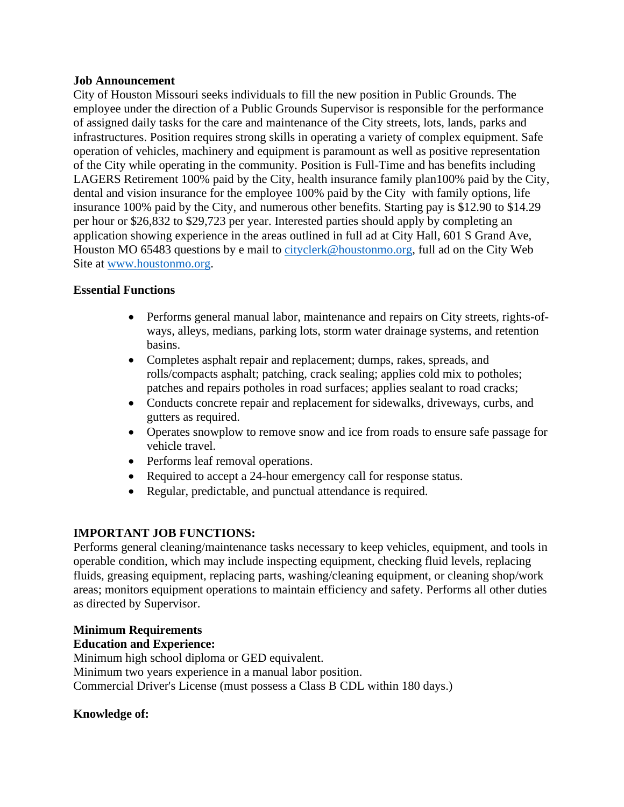#### **Job Announcement**

City of Houston Missouri seeks individuals to fill the new position in Public Grounds. The employee under the direction of a Public Grounds Supervisor is responsible for the performance of assigned daily tasks for the care and maintenance of the City streets, lots, lands, parks and infrastructures. Position requires strong skills in operating a variety of complex equipment. Safe operation of vehicles, machinery and equipment is paramount as well as positive representation of the City while operating in the community. Position is Full-Time and has benefits including LAGERS Retirement 100% paid by the City, health insurance family plan100% paid by the City, dental and vision insurance for the employee 100% paid by the City with family options, life insurance 100% paid by the City, and numerous other benefits. Starting pay is \$12.90 to \$14.29 per hour or \$26,832 to \$29,723 per year. Interested parties should apply by completing an application showing experience in the areas outlined in full ad at City Hall, 601 S Grand Ave, Houston MO 65483 questions by e mail to [cityclerk@houstonmo.org,](mailto:cityclerk@houstonmo.org) full ad on the City Web Site at [www.houstonmo.org.](http://www.houstonmo.org/)

#### **Essential Functions**

- Performs general manual labor, maintenance and repairs on City streets, rights-ofways, alleys, medians, parking lots, storm water drainage systems, and retention basins.
- Completes asphalt repair and replacement; dumps, rakes, spreads, and rolls/compacts asphalt; patching, crack sealing; applies cold mix to potholes; patches and repairs potholes in road surfaces; applies sealant to road cracks;
- Conducts concrete repair and replacement for sidewalks, driveways, curbs, and gutters as required.
- Operates snowplow to remove snow and ice from roads to ensure safe passage for vehicle travel.
- Performs leaf removal operations.
- Required to accept a 24-hour emergency call for response status.
- Regular, predictable, and punctual attendance is required.

# **IMPORTANT JOB FUNCTIONS:**

Performs general cleaning/maintenance tasks necessary to keep vehicles, equipment, and tools in operable condition, which may include inspecting equipment, checking fluid levels, replacing fluids, greasing equipment, replacing parts, washing/cleaning equipment, or cleaning shop/work areas; monitors equipment operations to maintain efficiency and safety. Performs all other duties as directed by Supervisor.

## **Minimum Requirements**

## **Education and Experience:**

Minimum high school diploma or GED equivalent. Minimum two years experience in a manual labor position. Commercial Driver's License (must possess a Class B CDL within 180 days.)

## **Knowledge of:**